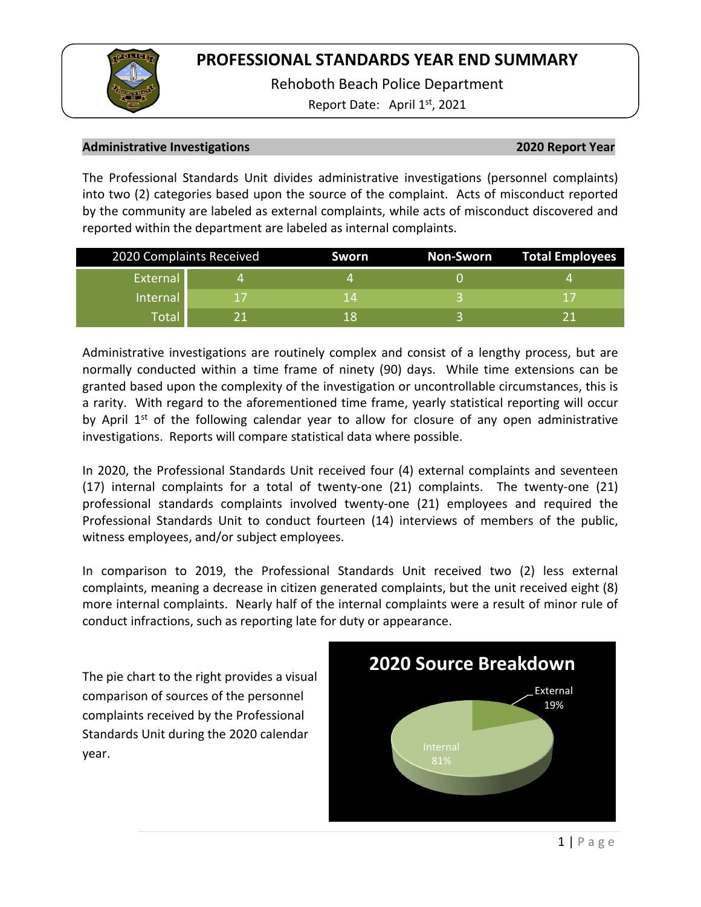Rehoboth Beach Police Department

Report Date: April  $1<sup>st</sup>$ , 2021

## **Administrative Investigations 2020 Report Year**

The Professional Standards Unit divides administrative investigations (personnel complaints) into two (2) categories based upon the source of the complaint. Acts of misconduct reported by the community are labeled as external complaints, while acts of misconduct discovered and reported within the department are labeled as internal complaints.

| 2020 Complaints Received |    | Sworn | Non-Sworn | <b>Total Employees</b> |  |
|--------------------------|----|-------|-----------|------------------------|--|
| External                 |    |       |           |                        |  |
| Internal                 | 17 | 14    |           |                        |  |
| <b>Total</b>             |    | 1 X   |           | 11                     |  |

Administrative investigations are routinely complex and consist of a lengthy process, but are normally conducted within a time frame of ninety (90) days. While time extensions can be granted based upon the complexity of the investigation or uncontrollable circumstances, this is a rarity. With regard to the aforementioned time frame, yearly statistical reporting will occur by April  $1<sup>st</sup>$  of the following calendar year to allow for closure of any open administrative investigations. Reports will compare statistical data where possible.

In 2020, the Professional Standards Unit received four (4) external complaints and seventeen (17) internal complaints for a total of twenty-one (21) complaints. The twenty-one (21) professional standards complaints involved twenty-one (21) employees and required the Professional Standards Unit to conduct fourteen (14) interviews of members of the public, witness employees, and/or subject employees.

In comparison to 2019, the Professional Standards Unit received two (2) less external complaints, meaning a decrease in citizen generated complaints, but the unit received eight (8) more internal complaints. Nearly half of the internal complaints were a result of minor rule of conduct infractions, such as reporting late for duty or appearance.

The pie chart to the right provides a visual comparison of sources of the personnel complaints received by the Professional Standards Unit during the 2020 calendar year.

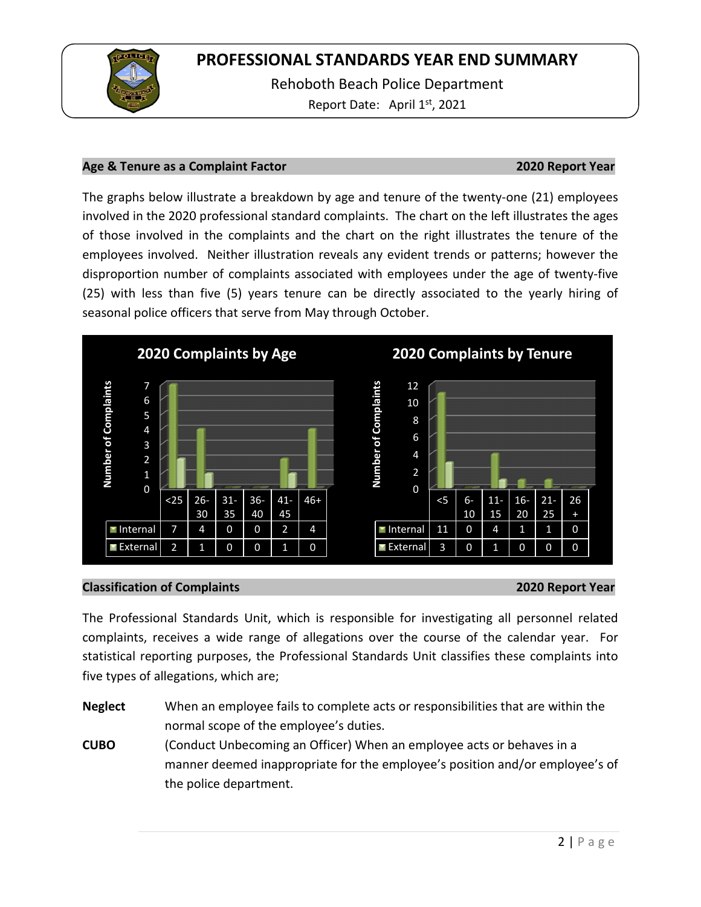

Rehoboth Beach Police Department Report Date: April 1<sup>st</sup>, 2021

## **Age & Tenure as a Complaint Factor 2020 Report Year**

The graphs below illustrate a breakdown by age and tenure of the twenty-one (21) employees involved in the 2020 professional standard complaints. The chart on the left illustrates the ages of those involved in the complaints and the chart on the right illustrates the tenure of the employees involved. Neither illustration reveals any evident trends or patterns; however the disproportion number of complaints associated with employees under the age of twenty-five (25) with less than five (5) years tenure can be directly associated to the yearly hiring of seasonal police officers that serve from May through October.



## **Classification of Complaints 2020 Report Year**

The Professional Standards Unit, which is responsible for investigating all personnel related complaints, receives a wide range of allegations over the course of the calendar year. For statistical reporting purposes, the Professional Standards Unit classifies these complaints into five types of allegations, which are;

**Neglect** When an employee fails to complete acts or responsibilities that are within the normal scope of the employee's duties.

**CUBO** (Conduct Unbecoming an Officer) When an employee acts or behaves in a manner deemed inappropriate for the employee's position and/or employee's of the police department.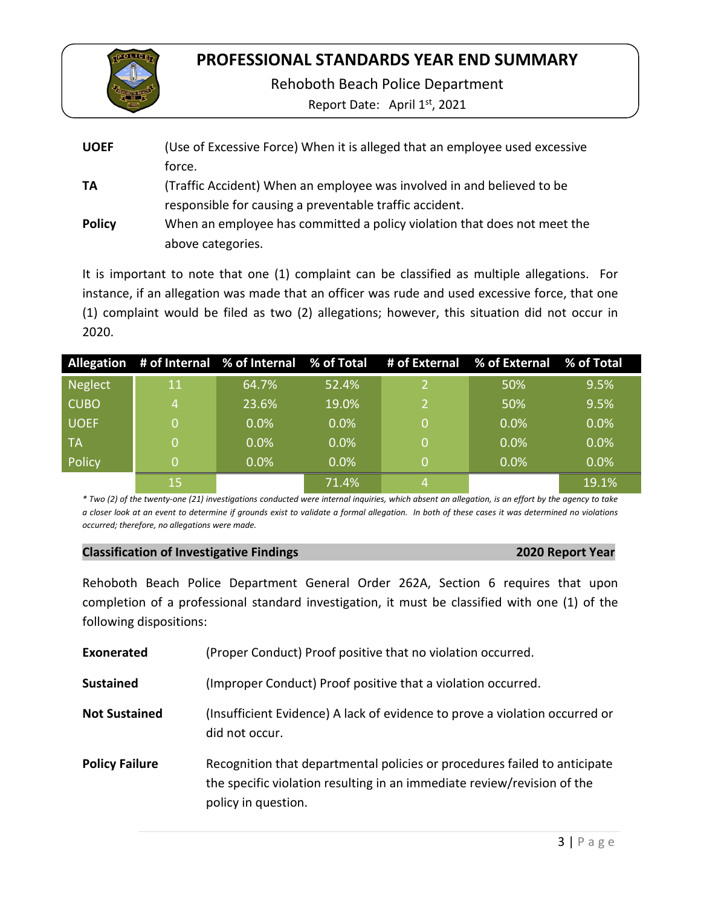

Rehoboth Beach Police Department

Report Date: April 1st, 2021

| <b>UOEF</b>   | (Use of Excessive Force) When it is alleged that an employee used excessive |
|---------------|-----------------------------------------------------------------------------|
|               | force.                                                                      |
| TA            | (Traffic Accident) When an employee was involved in and believed to be      |
|               | responsible for causing a preventable traffic accident.                     |
| <b>Policy</b> | When an employee has committed a policy violation that does not meet the    |
|               | above categories.                                                           |

It is important to note that one (1) complaint can be classified as multiple allegations. For instance, if an allegation was made that an officer was rude and used excessive force, that one (1) complaint would be filed as two (2) allegations; however, this situation did not occur in 2020.

|                |    |         |         | Allegation # of Internal % of Internal % of Total # of External % of External % of Total |      |       |
|----------------|----|---------|---------|------------------------------------------------------------------------------------------|------|-------|
| <b>Neglect</b> | 11 | 64.7%   | 52.4%   |                                                                                          | 50%  | 9.5%  |
| <b>CUBO</b>    | 4  | 23.6%   | 19.0%   |                                                                                          | 50%  | 9.5%  |
| <b>UOEF</b>    | 0  | $0.0\%$ | 0.0%    |                                                                                          | 0.0% | 0.0%  |
| <b>TA</b>      | 0  | 0.0%    | 0.0%    |                                                                                          | 0.0% | 0.0%  |
| Policy         | 0  | $0.0\%$ | $0.0\%$ |                                                                                          | 0.0% | 0.0%  |
|                | 15 |         | 71.4%   |                                                                                          |      | 19.1% |

*\* Two (2) of the twenty-one (21) investigations conducted were internal inquiries, which absent an allegation, is an effort by the agency to take a closer look at an event to determine if grounds exist to validate a formal allegation. In both of these cases it was determined no violations occurred; therefore, no allegations were made.* 

## **2020 Report Year**

Rehoboth Beach Police Department General Order 262A, Section 6 requires that upon completion of a professional standard investigation, it must be classified with one (1) of the following dispositions:

| Exonerated            | (Proper Conduct) Proof positive that no violation occurred.                                                                                                                 |  |  |
|-----------------------|-----------------------------------------------------------------------------------------------------------------------------------------------------------------------------|--|--|
| <b>Sustained</b>      | (Improper Conduct) Proof positive that a violation occurred.                                                                                                                |  |  |
| <b>Not Sustained</b>  | (Insufficient Evidence) A lack of evidence to prove a violation occurred or<br>did not occur.                                                                               |  |  |
| <b>Policy Failure</b> | Recognition that departmental policies or procedures failed to anticipate<br>the specific violation resulting in an immediate review/revision of the<br>policy in question. |  |  |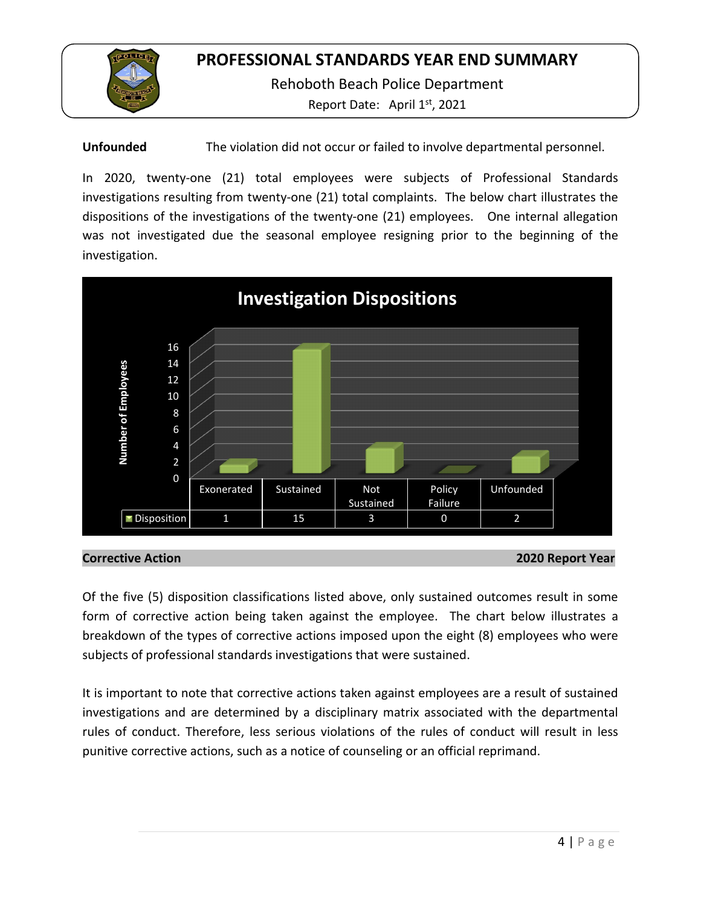

Rehoboth Beach Police Department

Report Date: April 1<sup>st</sup>, 2021

**Unfounded** The violation did not occur or failed to involve departmental personnel.

In 2020, twenty-one (21) total employees were subjects of Professional Standards investigations resulting from twenty-one (21) total complaints. The below chart illustrates the dispositions of the investigations of the twenty-one (21) employees. One internal allegation was not investigated due the seasonal employee resigning prior to the beginning of the investigation.



**Corrective Action 2020 Report Year**

Of the five (5) disposition classifications listed above, only sustained outcomes result in some form of corrective action being taken against the employee. The chart below illustrates a breakdown of the types of corrective actions imposed upon the eight (8) employees who were subjects of professional standards investigations that were sustained.

It is important to note that corrective actions taken against employees are a result of sustained investigations and are determined by a disciplinary matrix associated with the departmental rules of conduct. Therefore, less serious violations of the rules of conduct will result in less punitive corrective actions, such as a notice of counseling or an official reprimand.